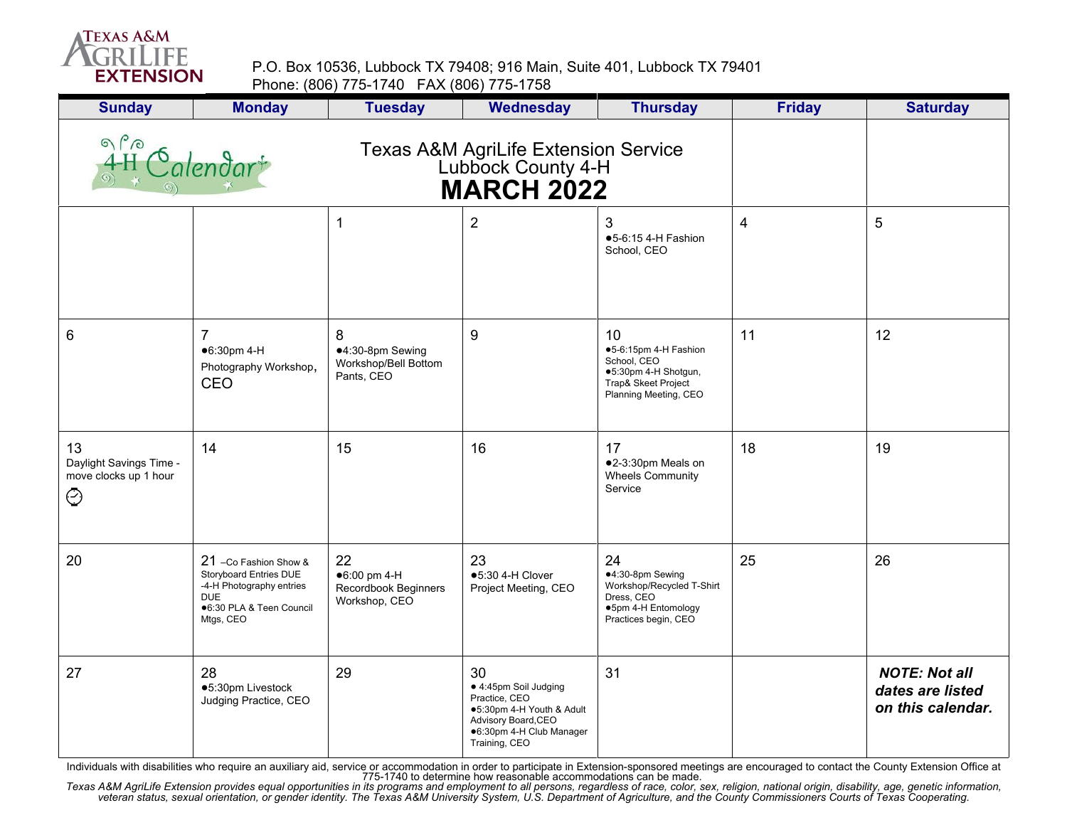

P.O. Box 10536, Lubbock TX 79408; 916 Main, Suite 401, Lubbock TX 79401 Phone: (806) 775-1740 FAX (806) 775-1758

| <b>Sunday</b>                                                     | <b>Monday</b>                                                                                                                      | <b>Tuesday</b>                                              | <b>Wednesday</b>                                                                                                                              | <b>Thursday</b>                                                                                                    | <b>Friday</b> | <b>Saturday</b>                                               |
|-------------------------------------------------------------------|------------------------------------------------------------------------------------------------------------------------------------|-------------------------------------------------------------|-----------------------------------------------------------------------------------------------------------------------------------------------|--------------------------------------------------------------------------------------------------------------------|---------------|---------------------------------------------------------------|
| $\begin{array}{c}\n\circ \\ 4H\n\end{array}$                      | Calendar                                                                                                                           |                                                             |                                                                                                                                               |                                                                                                                    |               |                                                               |
|                                                                   |                                                                                                                                    | 1                                                           | $\overline{2}$                                                                                                                                | 3<br>●5-6:15 4-H Fashion<br>School, CEO                                                                            | 4             | 5                                                             |
| $\,6$                                                             | $\overline{7}$<br>●6:30pm 4-H<br>Photography Workshop,<br>CEO                                                                      | 8<br>●4:30-8pm Sewing<br>Workshop/Bell Bottom<br>Pants, CEO | 9                                                                                                                                             | 10<br>●5-6:15pm 4-H Fashion<br>School, CEO<br>●5:30pm 4-H Shotgun,<br>Trap& Skeet Project<br>Planning Meeting, CEO | 11            | 12                                                            |
| 13<br>Daylight Savings Time -<br>move clocks up 1 hour<br>$\odot$ | 14                                                                                                                                 | 15                                                          | 16                                                                                                                                            | 17<br>●2-3:30pm Meals on<br>Wheels Community<br>Service                                                            | 18            | 19                                                            |
| 20                                                                | 21 -Co Fashion Show &<br>Storyboard Entries DUE<br>-4-H Photography entries<br><b>DUE</b><br>●6:30 PLA & Teen Council<br>Mtgs, CEO | 22<br>●6:00 pm 4-H<br>Recordbook Beginners<br>Workshop, CEO | 23<br>$•5:30$ 4-H Clover<br>Project Meeting, CEO                                                                                              | 24<br>●4:30-8pm Sewing<br>Workshop/Recycled T-Shirt<br>Dress, CEO<br>●5pm 4-H Entomology<br>Practices begin, CEO   | 25            | 26                                                            |
| 27                                                                | 28<br>●5:30pm Livestock<br>Judging Practice, CEO                                                                                   | 29                                                          | 30<br>● 4:45pm Soil Judging<br>Practice, CEO<br>●5:30pm 4-H Youth & Adult<br>Advisory Board, CEO<br>●6:30pm 4-H Club Manager<br>Training, CEO | 31                                                                                                                 |               | <b>NOTE: Not all</b><br>dates are listed<br>on this calendar. |

Individuals with disabilities who require an auxiliary aid, service or accommodation in order to participate in Extension-sponsored meetings are encouraged to contact the County Extension Office at<br>Texas A&M AgriLife Exten